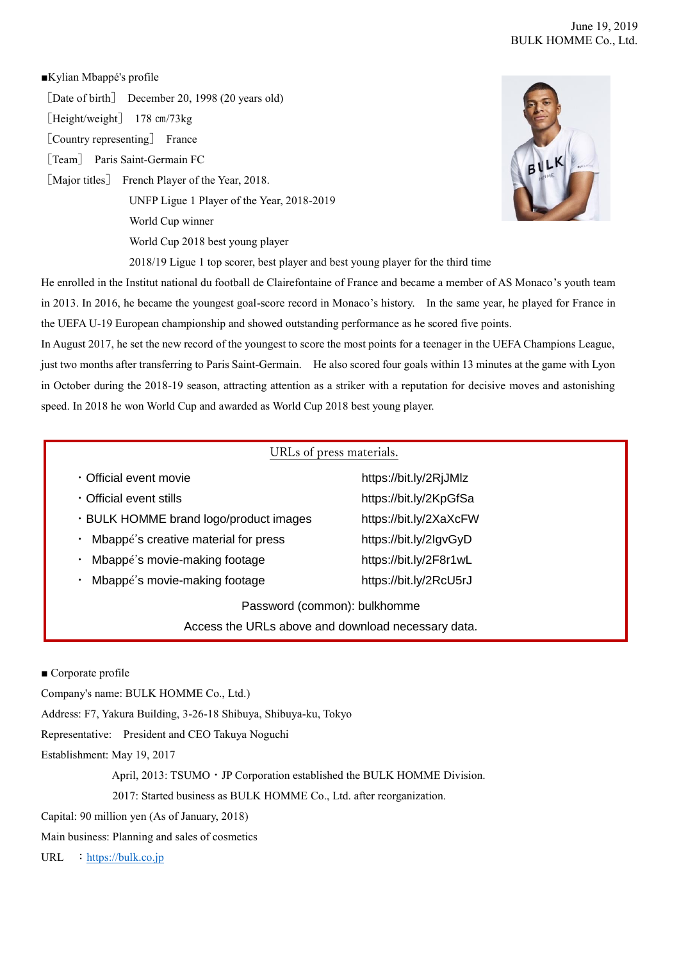## June 19, 2019 BULK HOMME Co., Ltd.

## ■Kylian Mbappé's profile

[Date of birth] December 20, 1998 (20 years old)

[Height/weight] 178 cm/73kg

[Country representing] France

[Team] Paris Saint-Germain FC

[Major titles] French Player of the Year, 2018.

UNFP Ligue 1 Player of the Year, 2018-2019

World Cup winner

World Cup 2018 best young player

2018/19 Ligue 1 top scorer, best player and best young player for the third time

He enrolled in the Institut national du football de Clairefontaine of France and became a member of AS Monaco's youth team in 2013. In 2016, he became the youngest goal-score record in Monaco's history. In the same year, he played for France in the UEFA U-19 European championship and showed outstanding performance as he scored five points.

In August 2017, he set the new record of the youngest to score the most points for a teenager in the UEFA Champions League, just two months after transferring to Paris Saint-Germain. He also scored four goals within 13 minutes at the game with Lyon in October during the 2018-19 season, attracting attention as a striker with a reputation for decisive moves and astonishing speed. In 2018 he won World Cup and awarded as World Cup 2018 best young player.

## URLs of press materials.

| Access the URLs above and download necessary data. |                        |
|----------------------------------------------------|------------------------|
| Password (common): bulkhomme                       |                        |
| Mbappé's movie-making footage                      | https://bit.ly/2RcU5rJ |
| Mbappé's movie-making footage<br>$\bullet$         | https://bit.ly/2F8r1wL |
| Mbappé's creative material for press               | https://bit.ly/2lgvGyD |
| . BULK HOMME brand logo/product images             | https://bit.ly/2XaXcFW |
| · Official event stills                            | https://bit.ly/2KpGfSa |
| · Official event movie                             | https://bit.ly/2RjJMlz |

## ■ Corporate profile

Company's name: BULK HOMME Co., Ltd.)

Address: F7, Yakura Building, 3-26-18 Shibuya, Shibuya-ku, Tokyo

Representative: President and CEO Takuya Noguchi

Establishment: May 19, 2017

April, 2013: TSUMO · JP Corporation established the BULK HOMME Division.

2017: Started business as BULK HOMME Co., Ltd. after reorganization.

Capital: 90 million yen (As of January, 2018)

Main business: Planning and sales of cosmetics

URL : [https://bulk.co.jp](https://bulk.co.jp/)